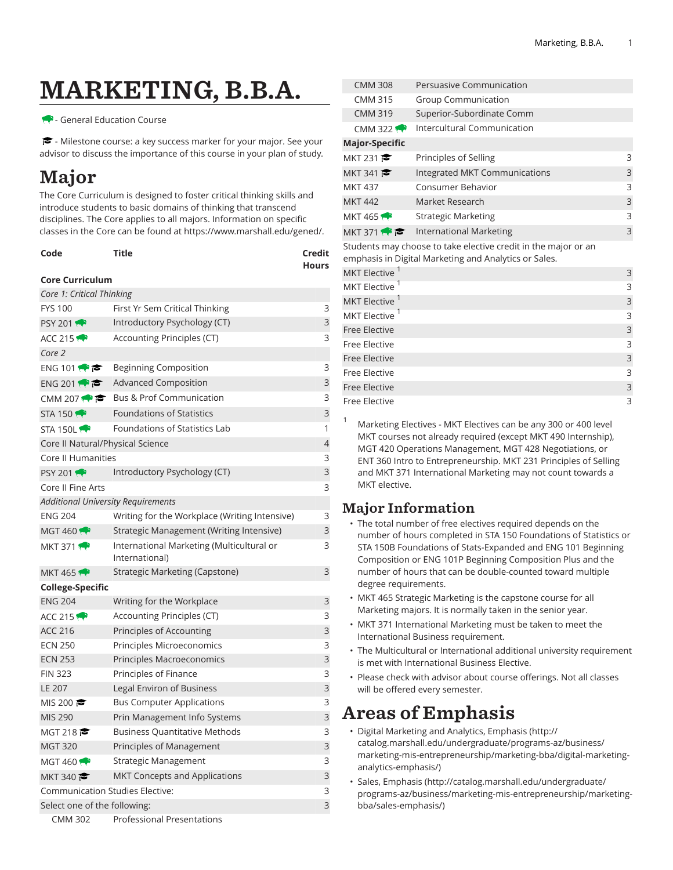# MARKETING, B.B.A.

#### - General Education Course

 $\blacktriangleright$  - Milestone course: a key success marker for your major. See your advisor to discuss the importance of this course in your plan of study.

# Major

The Core Curriculum is designed to foster critical thinking skills and introduce students to basic domains of thinking that transcend disciplines. The Core applies to all majors. Information on specific classes in the Core can be found at [https://www.marshall.edu/gened/.](https://www.marshall.edu/gened/)

| Code | Title | Credit       |
|------|-------|--------------|
|      |       | <b>Hours</b> |

### **Core Curriculum**

| Core 1: Critical Thinking                 |                                                             |   |  |  |
|-------------------------------------------|-------------------------------------------------------------|---|--|--|
| <b>FYS 100</b>                            | 3<br>First Yr Sem Critical Thinking                         |   |  |  |
| <b>PSY 2011</b>                           | Introductory Psychology (CT)                                |   |  |  |
| ACC 215                                   | Accounting Principles (CT)                                  | 3 |  |  |
| Core 2                                    |                                                             |   |  |  |
| ENG 101 $\bullet$                         | <b>Beginning Composition</b>                                | 3 |  |  |
| ENG 201                                   | <b>Advanced Composition</b>                                 | 3 |  |  |
| CMM 207 $\bullet$                         | <b>Bus &amp; Prof Communication</b>                         | 3 |  |  |
| STA 150                                   | <b>Foundations of Statistics</b>                            | 3 |  |  |
| STA 150L                                  | Foundations of Statistics Lab                               | 1 |  |  |
| Core II Natural/Physical Science          |                                                             | 4 |  |  |
| Core II Humanities                        |                                                             | 3 |  |  |
| <b>PSY 2011</b>                           | Introductory Psychology (CT)                                | 3 |  |  |
| Core II Fine Arts                         |                                                             | 3 |  |  |
| <b>Additional University Requirements</b> |                                                             |   |  |  |
| <b>ENG 204</b>                            | Writing for the Workplace (Writing Intensive)               | 3 |  |  |
| MGT 460 $\leftrightarrow$                 | Strategic Management (Writing Intensive)                    | 3 |  |  |
| MKT 371 $\bullet$                         | International Marketing (Multicultural or<br>International) | 3 |  |  |
| <b>MKT 4651</b>                           | Strategic Marketing (Capstone)                              | 3 |  |  |
| <b>College-Specific</b>                   |                                                             |   |  |  |
| <b>ENG 204</b>                            | Writing for the Workplace                                   | 3 |  |  |
| ACC 215                                   | Accounting Principles (CT)                                  | 3 |  |  |
| <b>ACC 216</b>                            | Principles of Accounting                                    | 3 |  |  |
| <b>ECN 250</b>                            | Principles Microeconomics                                   | 3 |  |  |
| <b>ECN 253</b>                            | Principles Macroeconomics                                   | 3 |  |  |
| <b>FIN 323</b>                            | Principles of Finance                                       | 3 |  |  |
| LE 207                                    | Legal Environ of Business                                   | 3 |  |  |
| MIS 200 $\approx$                         | <b>Bus Computer Applications</b>                            | 3 |  |  |
| MIS 290                                   | Prin Management Info Systems                                | 3 |  |  |
| MGT 218 $\approx$                         | <b>Business Quantitative Methods</b>                        | 3 |  |  |
| <b>MGT 320</b>                            | Principles of Management                                    | 3 |  |  |
| <b>MGT 460</b>                            | Strategic Management                                        | 3 |  |  |
| MKT 340 $\approx$                         | MKT Concepts and Applications                               | 3 |  |  |
| 3<br>Communication Studies Elective:      |                                                             |   |  |  |
|                                           | 3<br>Select one of the following:                           |   |  |  |
| <b>CMM 302</b>                            | <b>Professional Presentations</b>                           |   |  |  |

|                                                                                                                         | <b>CMM 308</b>            | Persuasive Communication       |   |  |
|-------------------------------------------------------------------------------------------------------------------------|---------------------------|--------------------------------|---|--|
|                                                                                                                         | <b>CMM 315</b>            | <b>Group Communication</b>     |   |  |
|                                                                                                                         | <b>CMM 319</b>            | Superior-Subordinate Comm      |   |  |
|                                                                                                                         | CMM 322 $\rightarrow$     | Intercultural Communication    |   |  |
|                                                                                                                         | <b>Major-Specific</b>     |                                |   |  |
|                                                                                                                         | MKT 231 $\bullet$         | Principles of Selling          | 3 |  |
|                                                                                                                         | MKT 341                   | Integrated MKT Communications  | 3 |  |
|                                                                                                                         | <b>MKT 437</b>            | Consumer Behavior              | 3 |  |
|                                                                                                                         | <b>MKT 442</b>            | Market Research                | 3 |  |
|                                                                                                                         | MKT 465                   | <b>Strategic Marketing</b>     | 3 |  |
|                                                                                                                         | MKT 371                   | <b>International Marketing</b> | 3 |  |
| Students may choose to take elective credit in the major or an<br>emphasis in Digital Marketing and Analytics or Sales. |                           |                                |   |  |
|                                                                                                                         | MKT Elective              |                                | 3 |  |
|                                                                                                                         | MKT Elective <sup>1</sup> |                                | 3 |  |
|                                                                                                                         | MKT Elective              |                                | 3 |  |
|                                                                                                                         | MKT Elective <sup>1</sup> |                                | 3 |  |
|                                                                                                                         | <b>Free Elective</b>      |                                | 3 |  |
|                                                                                                                         | Free Elective             |                                | 3 |  |
|                                                                                                                         | <b>Free Elective</b>      |                                | 3 |  |
|                                                                                                                         | Free Elective             |                                | 3 |  |
|                                                                                                                         | <b>Free Elective</b>      |                                | 3 |  |
|                                                                                                                         | <b>Free Elective</b>      |                                | 3 |  |

<sup>1</sup> Marketing Electives - MKT Electives can be any <sup>300</sup> or <sup>400</sup> level MKT courses not already required (except MKT 490 Internship), MGT 420 Operations Management, MGT 428 Negotiations, or ENT 360 Intro to Entrepreneurship. MKT 231 Principles of Selling and MKT 371 International Marketing may not count towards a MKT elective.

### Major Information

- The total number of free electives required depends on the number of hours completed in STA 150 Foundations of Statistics or STA 150B Foundations of Stats-Expanded and ENG 101 Beginning Composition or ENG 101P Beginning Composition Plus and the number of hours that can be double-counted toward multiple degree requirements.
- MKT 465 Strategic Marketing is the capstone course for all Marketing majors. It is normally taken in the senior year.
- MKT 371 International Marketing must be taken to meet the International Business requirement.
- The Multicultural or International additional university requirement is met with International Business Elective.
- Please check with advisor about course offerings. Not all classes will be offered every semester.

# Areas of Emphasis

- Digital [Marketing](http://catalog.marshall.edu/undergraduate/programs-az/business/marketing-mis-entrepreneurship/marketing-bba/digital-marketing-analytics-emphasis/) and Analytics, Emphasis [\(http://](http://catalog.marshall.edu/undergraduate/programs-az/business/marketing-mis-entrepreneurship/marketing-bba/digital-marketing-analytics-emphasis/) [catalog.marshall.edu/undergraduate/programs-az/business/](http://catalog.marshall.edu/undergraduate/programs-az/business/marketing-mis-entrepreneurship/marketing-bba/digital-marketing-analytics-emphasis/) [marketing-mis-entrepreneurship/marketing-bba/digital-marketing](http://catalog.marshall.edu/undergraduate/programs-az/business/marketing-mis-entrepreneurship/marketing-bba/digital-marketing-analytics-emphasis/)[analytics-emphasis/](http://catalog.marshall.edu/undergraduate/programs-az/business/marketing-mis-entrepreneurship/marketing-bba/digital-marketing-analytics-emphasis/))
- [Sales, Emphasis](http://catalog.marshall.edu/undergraduate/programs-az/business/marketing-mis-entrepreneurship/marketing-bba/sales-emphasis/) ([http://catalog.marshall.edu/undergraduate/](http://catalog.marshall.edu/undergraduate/programs-az/business/marketing-mis-entrepreneurship/marketing-bba/sales-emphasis/) [programs-az/business/marketing-mis-entrepreneurship/marketing](http://catalog.marshall.edu/undergraduate/programs-az/business/marketing-mis-entrepreneurship/marketing-bba/sales-emphasis/)[bba/sales-emphasis/](http://catalog.marshall.edu/undergraduate/programs-az/business/marketing-mis-entrepreneurship/marketing-bba/sales-emphasis/))